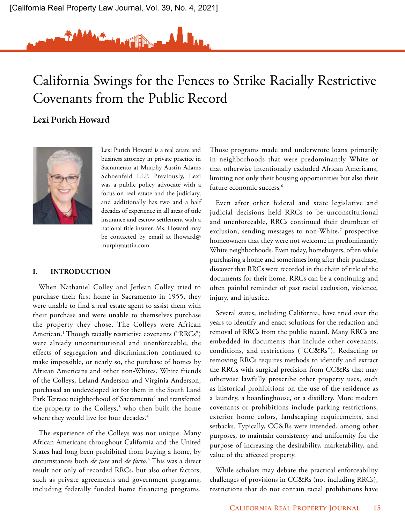# California Swings for the Fences to Strike Racially Restrictive Covenants from the Public Record

Al Jan.

# **Lexi Purich Howard**



 Lexi Purich Howard is a real estate and business attorney in private practice in Sacramento at Murphy Austin Adams Schoenfeld LLP. Previously, Lexi was a public policy advocate with a focus on real estate and the judiciary, and additionally has two and a half decades of experience in all areas of title insurance and escrow settlement with a national title insurer. Ms. Howard may be contacted by email at lhoward@ murphyaustin.com.

## **I. INTRODUCTION**

When Nathaniel Colley and Jerlean Colley tried to purchase their first home in Sacramento in 1955, they were unable to find a real estate agent to assist them with their purchase and were unable to themselves purchase the property they chose. The Colleys were African American.1 Though racially restrictive covenants ("RRCs") were already unconstitutional and unenforceable, the effects of segregation and discrimination continued to make impossible, or nearly so, the purchase of homes by African Americans and other non-Whites. White friends of the Colleys, Leland Anderson and Virginia Anderson, purchased an undeveloped lot for them in the South Land Park Terrace neighborhood of Sacramento<sup>2</sup> and transferred the property to the Colleys,<sup>3</sup> who then built the home where they would live for four decades.<sup>4</sup>

The experience of the Colleys was not unique. Many African Americans throughout California and the United States had long been prohibited from buying a home, by circumstances both *de jure* and *de facto*. 5 This was a direct result not only of recorded RRCs, but also other factors, such as private agreements and government programs, including federally funded home financing programs.

Those programs made and underwrote loans primarily in neighborhoods that were predominantly White or that otherwise intentionally excluded African Americans, limiting not only their housing opportunities but also their future economic success.6

Even after other federal and state legislative and judicial decisions held RRCs to be unconstitutional and unenforceable, RRCs continued their drumbeat of exclusion, sending messages to non-White,7 prospective homeowners that they were not welcome in predominantly White neighborhoods. Even today, homebuyers, often while purchasing a home and sometimes long after their purchase, discover that RRCs were recorded in the chain of title of the documents for their home. RRCs can be a continuing and often painful reminder of past racial exclusion, violence, injury, and injustice.

Several states, including California, have tried over the years to identify and enact solutions for the redaction and removal of RRCs from the public record. Many RRCs are embedded in documents that include other covenants, conditions, and restrictions ("CC&Rs"). Redacting or removing RRCs requires methods to identify and extract the RRCs with surgical precision from CC&Rs that may otherwise lawfully proscribe other property uses, such as historical prohibitions on the use of the residence as a laundry, a boardinghouse, or a distillery. More modern covenants or prohibitions include parking restrictions, exterior home colors, landscaping requirements, and setbacks. Typically, CC&Rs were intended, among other purposes, to maintain consistency and uniformity for the purpose of increasing the desirability, marketability, and value of the affected property.

While scholars may debate the practical enforceability challenges of provisions in CC&Rs (not including RRCs), restrictions that do not contain racial prohibitions have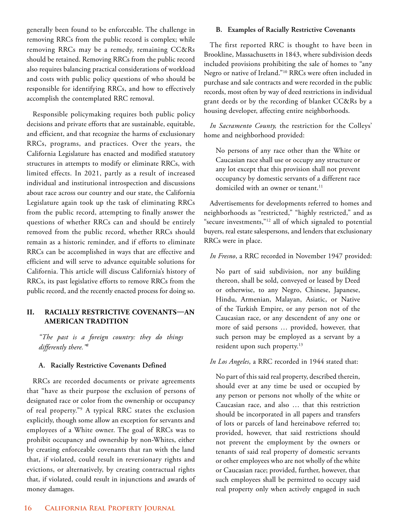generally been found to be enforceable. The challenge in removing RRCs from the public record is complex; while removing RRCs may be a remedy, remaining CC&Rs should be retained. Removing RRCs from the public record also requires balancing practical considerations of workload and costs with public policy questions of who should be responsible for identifying RRCs, and how to effectively accomplish the contemplated RRC removal.

Responsible policymaking requires both public policy decisions and private efforts that are sustainable, equitable, and efficient, and that recognize the harms of exclusionary RRCs, programs, and practices. Over the years, the California Legislature has enacted and modified statutory structures in attempts to modify or eliminate RRCs, with limited effects. In 2021, partly as a result of increased individual and institutional introspection and discussions about race across our country and our state, the California Legislature again took up the task of eliminating RRCs from the public record, attempting to finally answer the questions of whether RRCs can and should be entirely removed from the public record, whether RRCs should remain as a historic reminder, and if efforts to eliminate RRCs can be accomplished in ways that are effective and efficient and will serve to advance equitable solutions for California. This article will discuss California's history of RRCs, its past legislative efforts to remove RRCs from the public record, and the recently enacted process for doing so.

# **II. RACIALLY RESTRICTIVE COVENANTS—AN AMERICAN TRADITION**

*"The past is a foreign country: they do things differently there."8*

# **A. Racially Restrictive Covenants Defined**

RRCs are recorded documents or private agreements that "have as their purpose the exclusion of persons of designated race or color from the ownership or occupancy of real property."9 A typical RRC states the exclusion explicitly, though some allow an exception for servants and employees of a White owner. The goal of RRCs was to prohibit occupancy and ownership by non-Whites, either by creating enforceable covenants that ran with the land that, if violated, could result in reversionary rights and evictions, or alternatively, by creating contractual rights that, if violated, could result in injunctions and awards of money damages.

## **B. Examples of Racially Restrictive Covenants**

The first reported RRC is thought to have been in Brookline, Massachusetts in 1843, where subdivision deeds included provisions prohibiting the sale of homes to "any Negro or native of Ireland."10 RRCs were often included in purchase and sale contracts and were recorded in the public records, most often by way of deed restrictions in individual grant deeds or by the recording of blanket CC&Rs by a housing developer, affecting entire neighborhoods.

*In Sacramento County,* the restriction for the Colleys' home and neighborhood provided:

No persons of any race other than the White or Caucasian race shall use or occupy any structure or any lot except that this provision shall not prevent occupancy by domestic servants of a different race domiciled with an owner or tenant.<sup>11</sup>

Advertisements for developments referred to homes and neighborhoods as "restricted," "highly restricted," and as "secure investments,"12 all of which signaled to potential buyers, real estate salespersons, and lenders that exclusionary RRCs were in place.

## *In Fresno*, a RRC recorded in November 1947 provided:

No part of said subdivision, nor any building thereon, shall be sold, conveyed or leased by Deed or otherwise, to any Negro, Chinese, Japanese, Hindu, Armenian, Malayan, Asiatic, or Native of the Turkish Empire, or any person not of the Caucasian race, or any descendent of any one or more of said persons … provided, however, that such person may be employed as a servant by a resident upon such property.<sup>13</sup>

# *In Los Angeles*, a RRC recorded in 1944 stated that:

No part of this said real property, described therein, should ever at any time be used or occupied by any person or persons not wholly of the white or Caucasian race, and also … that this restriction should be incorporated in all papers and transfers of lots or parcels of land hereinabove referred to; provided, however, that said restrictions should not prevent the employment by the owners or tenants of said real property of domestic servants or other employees who are not wholly of the white or Caucasian race; provided, further, however, that such employees shall be permitted to occupy said real property only when actively engaged in such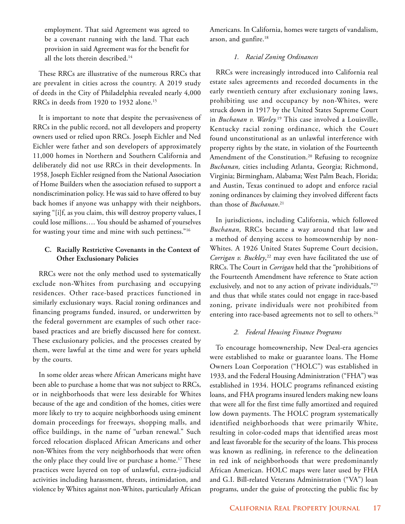employment. That said Agreement was agreed to be a covenant running with the land. That each provision in said Agreement was for the benefit for all the lots therein described.<sup>14</sup>

These RRCs are illustrative of the numerous RRCs that are prevalent in cities across the country. A 2019 study of deeds in the City of Philadelphia revealed nearly 4,000 RRCs in deeds from 1920 to 1932 alone.<sup>15</sup>

It is important to note that despite the pervasiveness of RRCs in the public record, not all developers and property owners used or relied upon RRCs. Joseph Eichler and Ned Eichler were father and son developers of approximately 11,000 homes in Northern and Southern California and deliberately did not use RRCs in their developments. In 1958, Joseph Eichler resigned from the National Association of Home Builders when the association refused to support a nondiscrimination policy. He was said to have offered to buy back homes if anyone was unhappy with their neighbors, saying "[i]f, as you claim, this will destroy property values, I could lose millions…. You should be ashamed of yourselves for wasting your time and mine with such pettiness."16

# **C. Racially Restrictive Covenants in the Context of Other Exclusionary Policies**

RRCs were not the only method used to systematically exclude non-Whites from purchasing and occupying residences. Other race-based practices functioned in similarly exclusionary ways. Racial zoning ordinances and financing programs funded, insured, or underwritten by the federal government are examples of such other racebased practices and are briefly discussed here for context. These exclusionary policies, and the processes created by them, were lawful at the time and were for years upheld by the courts.

In some older areas where African Americans might have been able to purchase a home that was not subject to RRCs, or in neighborhoods that were less desirable for Whites because of the age and condition of the homes, cities were more likely to try to acquire neighborhoods using eminent domain proceedings for freeways, shopping malls, and office buildings, in the name of "urban renewal." Such forced relocation displaced African Americans and other non-Whites from the very neighborhoods that were often the only place they could live or purchase a home.<sup>17</sup> These practices were layered on top of unlawful, extra-judicial activities including harassment, threats, intimidation, and violence by Whites against non-Whites, particularly African

Americans. In California, homes were targets of vandalism, arson, and gunfire.<sup>18</sup>

# *1. Racial Zoning Ordinances*

RRCs were increasingly introduced into California real estate sales agreements and recorded documents in the early twentieth century after exclusionary zoning laws, prohibiting use and occupancy by non-Whites, were struck down in 1917 by the United States Supreme Court in *Buchanan v. Warley.*19 This case involved a Louisville, Kentucky racial zoning ordinance, which the Court found unconstitutional as an unlawful interference with property rights by the state, in violation of the Fourteenth Amendment of the Constitution.<sup>20</sup> Refusing to recognize *Buchanan,* cities including Atlanta, Georgia; Richmond, Virginia; Birmingham, Alabama; West Palm Beach, Florida; and Austin, Texas continued to adopt and enforce racial zoning ordinances by claiming they involved different facts than those of *Buchanan*. 21

In jurisdictions, including California, which followed *Buchanan,* RRCs became a way around that law and a method of denying access to homeownership by non-Whites. A 1926 United States Supreme Court decision, *Corrigan v. Buckley*, 22 may even have facilitated the use of RRCs. The Court in *Corrigan* held that the "prohibitions of the Fourteenth Amendment have reference to State action exclusively, and not to any action of private individuals,"23 and thus that while states could not engage in race-based zoning, private individuals were not prohibited from entering into race-based agreements not to sell to others.<sup>24</sup>

## *2. Federal Housing Finance Programs*

To encourage homeownership, New Deal-era agencies were established to make or guarantee loans. The Home Owners Loan Corporation ("HOLC") was established in 1933, and the Federal Housing Administration ("FHA") was established in 1934. HOLC programs refinanced existing loans, and FHA programs insured lenders making new loans that were all for the first time fully amortized and required low down payments. The HOLC program systematically identified neighborhoods that were primarily White, resulting in color-coded maps that identified areas most and least favorable for the security of the loans. This process was known as redlining, in reference to the delineation in red ink of neighborhoods that were predominantly African American. HOLC maps were later used by FHA and G.I. Bill-related Veterans Administration ("VA") loan programs, under the guise of protecting the public fisc by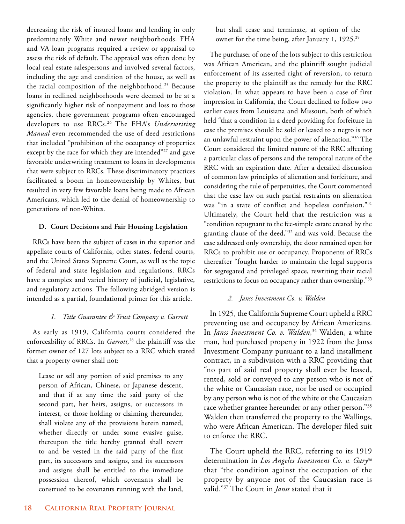decreasing the risk of insured loans and lending in only predominantly White and newer neighborhoods. FHA and VA loan programs required a review or appraisal to assess the risk of default. The appraisal was often done by local real estate salespersons and involved several factors, including the age and condition of the house, as well as the racial composition of the neighborhood.<sup>25</sup> Because loans in redlined neighborhoods were deemed to be at a significantly higher risk of nonpayment and loss to those agencies, these government programs often encouraged developers to use RRCs.26 The FHA's *Underwriting Manual* even recommended the use of deed restrictions that included "prohibition of the occupancy of properties except by the race for which they are intended"<sup>27</sup> and gave favorable underwriting treatment to loans in developments that were subject to RRCs. These discriminatory practices facilitated a boom in homeownership by Whites, but resulted in very few favorable loans being made to African Americans, which led to the denial of homeownership to generations of non-Whites.

# **D. Court Decisions and Fair Housing Legislation**

RRCs have been the subject of cases in the superior and appellate courts of California, other states, federal courts, and the United States Supreme Court, as well as the topic of federal and state legislation and regulations. RRCs have a complex and varied history of judicial, legislative, and regulatory actions. The following abridged version is intended as a partial, foundational primer for this article.

# *1. Title Guarantee & Trust Company v. Garrott*

As early as 1919, California courts considered the enforceability of RRCs. In *Garrott,*28 the plaintiff was the former owner of 127 lots subject to a RRC which stated that a property owner shall not:

Lease or sell any portion of said premises to any person of African, Chinese, or Japanese descent, and that if at any time the said party of the second part, her heirs, assigns, or successors in interest, or those holding or claiming thereunder, shall violate any of the provisions herein named, whether directly or under some evasive guise, thereupon the title hereby granted shall revert to and be vested in the said party of the first part, its successors and assigns, and its successors and assigns shall be entitled to the immediate possession thereof, which covenants shall be construed to be covenants running with the land,

but shall cease and terminate, at option of the owner for the time being, after January 1, 1925.<sup>29</sup>

The purchaser of one of the lots subject to this restriction was African American, and the plaintiff sought judicial enforcement of its asserted right of reversion, to return the property to the plaintiff as the remedy for the RRC violation. In what appears to have been a case of first impression in California, the Court declined to follow two earlier cases from Louisiana and Missouri, both of which held "that a condition in a deed providing for forfeiture in case the premises should be sold or leased to a negro is not an unlawful restraint upon the power of alienation."30 The Court considered the limited nature of the RRC affecting a particular class of persons and the temporal nature of the RRC with an expiration date. After a detailed discussion of common law principles of alienation and forfeiture, and considering the rule of perpetuities, the Court commented that the case law on such partial restraints on alienation was "in a state of conflict and hopeless confusion."31 Ultimately, the Court held that the restriction was a "condition repugnant to the fee-simple estate created by the granting clause of the deed,"32 and was void. Because the case addressed only ownership, the door remained open for RRCs to prohibit use or occupancy. Proponents of RRCs thereafter "fought harder to maintain the legal supports for segregated and privileged space, rewriting their racial restrictions to focus on occupancy rather than ownership."33

# *2. Janss Investment Co. v. Walden*

In 1925, the California Supreme Court upheld a RRC preventing use and occupancy by African Americans. In *Janss Investment Co. v. Walden,*<sup>34</sup> Walden, a white man, had purchased property in 1922 from the Janss Investment Company pursuant to a land installment contract, in a subdivision with a RRC providing that "no part of said real property shall ever be leased, rented, sold or conveyed to any person who is not of the white or Caucasian race, nor be used or occupied by any person who is not of the white or the Caucasian race whether grantee hereunder or any other person."35 Walden then transferred the property to the Wallings, who were African American. The developer filed suit to enforce the RRC.

The Court upheld the RRC, referring to its 1919 determination in *Los Angeles Investment Co. v. Gary*<sup>36</sup> that "the condition against the occupation of the property by anyone not of the Caucasian race is valid."37 The Court in *Janss* stated that it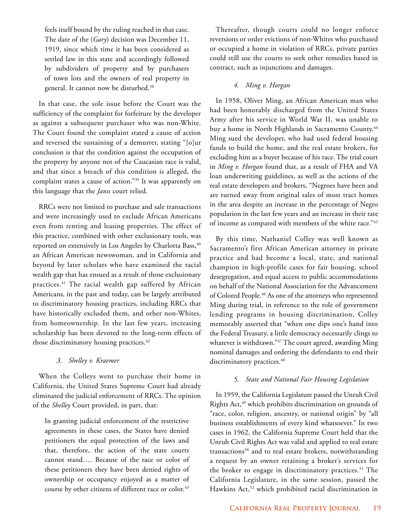feels itself bound by the ruling reached in that case. The date of the (*Gary*) decision was December 11, 1919, since which time it has been considered as settled law in this state and accordingly followed by subdividers of property and by purchasers of town lots and the owners of real property in general. It cannot now be disturbed.38

In that case, the sole issue before the Court was the sufficiency of the complaint for forfeiture by the developer as against a subsequent purchaser who was non-White. The Court found the complaint stated a cause of action and reversed the sustaining of a demurrer, stating "[o]ur conclusion is that the condition against the occupation of the property by anyone not of the Caucasian race is valid, and that since a breach of this condition is alleged, the complaint states a cause of action."39 It was apparently on this language that the *Janss* court relied.

RRCs were not limited to purchase and sale transactions and were increasingly used to exclude African Americans even from renting and leasing properties. The effect of this practice, combined with other exclusionary tools, was reported on extensively in Los Angeles by Charlotta Bass, 40 an African American newswoman, and in California and beyond by later scholars who have examined the racial wealth gap that has ensued as a result of those exclusionary practices.41 The racial wealth gap suffered by African Americans, in the past and today, can be largely attributed to discriminatory housing practices, including RRCs that have historically excluded them, and other non-Whites, from homeownership. In the last few years, increasing scholarship has been devoted to the long-term effects of those discriminatory housing practices.<sup>42</sup>

# *3. Shelley v. Kraemer*

When the Colleys went to purchase their home in California, the United States Supreme Court had already eliminated the judicial enforcement of RRCs. The opinion of the *Shelley* Court provided, in part, that:

In granting judicial enforcement of the restrictive agreements in these cases, the States have denied petitioners the equal protection of the laws and that, therefore, the action of the state courts cannot stand…. Because of the race or color of these petitioners they have been denied rights of ownership or occupancy enjoyed as a matter of course by other citizens of different race or color.<sup>43</sup>

Thereafter, though courts could no longer enforce reversions or order evictions of non-Whites who purchased or occupied a home in violation of RRCs, private parties could still use the courts to seek other remedies based in contract, such as injunctions and damages.

# *4. Ming v. Horgan*

In 1958, Oliver Ming, an African American man who had been honorably discharged from the United States Army after his service in World War II, was unable to buy a home in North Highlands in Sacramento County.<sup>44</sup> Ming sued the developer, who had used federal housing funds to build the home, and the real estate brokers, for excluding him as a buyer because of his race. The trial court in *Ming v. Horgan* found that, as a result of FHA and VA loan underwriting guidelines, as well as the actions of the real estate developers and brokers, "Negroes have been and are turned away from original sales of most tract homes in the area despite an increase in the percentage of Negro population in the last few years and an increase in their rate of income as compared with members of the white race."45

By this time, Nathaniel Colley was well known as Sacramento's first African American attorney in private practice and had become a local, state, and national champion in high-profile cases for fair housing, school desegregation, and equal access to public accommodations on behalf of the National Association for the Advancement of Colored People.46 As one of the attorneys who represented Ming during trial, in reference to the role of government lending programs in housing discrimination, Colley memorably asserted that "when one dips one's hand into the Federal Treasury, a little democracy necessarily clings to whatever is withdrawn."47 The court agreed, awarding Ming nominal damages and ordering the defendants to end their discriminatory practices.<sup>48</sup>

## *5. State and National Fair Housing Legislation*

In 1959, the California Legislature passed the Unruh Civil Rights Act,<sup>49</sup> which prohibits discrimination on grounds of "race, color, religion, ancestry, or national origin" by "all business establishments of every kind whatsoever." In two cases in 1962, the California Supreme Court held that the Unruh Civil Rights Act was valid and applied to real estate transactions<sup>50</sup> and to real estate brokers, notwithstanding a request by an owner retaining a broker's services for the broker to engage in discriminatory practices.<sup>51</sup> The California Legislature, in the same session, passed the Hawkins Act,<sup>52</sup> which prohibited racial discrimination in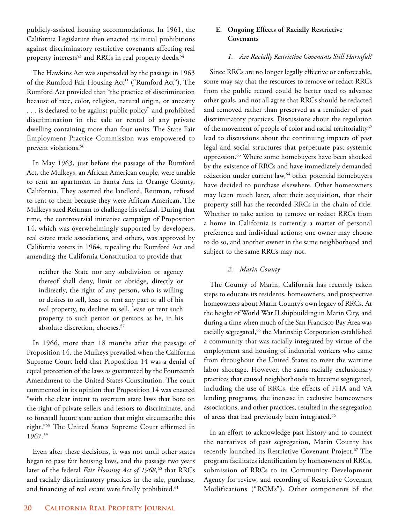publicly-assisted housing accommodations. In 1961, the California Legislature then enacted its initial prohibitions against discriminatory restrictive covenants affecting real property interests<sup>53</sup> and RRCs in real property deeds.<sup>54</sup>

The Hawkins Act was superseded by the passage in 1963 of the Rumford Fair Housing Act<sup>55</sup> ("Rumford Act"). The Rumford Act provided that "the practice of discrimination because of race, color, religion, natural origin, or ancestry . . . is declared to be against public policy" and prohibited discrimination in the sale or rental of any private dwelling containing more than four units. The State Fair Employment Practice Commission was empowered to prevent violations.<sup>56</sup>

In May 1963, just before the passage of the Rumford Act, the Mulkeys, an African American couple, were unable to rent an apartment in Santa Ana in Orange County, California. They asserted the landlord, Reitman, refused to rent to them because they were African American. The Mulkeys sued Reitman to challenge his refusal. During that time, the controversial initiative campaign of Proposition 14, which was overwhelmingly supported by developers, real estate trade associations, and others, was approved by California voters in 1964, repealing the Rumford Act and amending the California Constitution to provide that

neither the State nor any subdivision or agency thereof shall deny, limit or abridge, directly or indirectly, the right of any person, who is willing or desires to sell, lease or rent any part or all of his real property, to decline to sell, lease or rent such property to such person or persons as he, in his absolute discretion, chooses.<sup>57</sup>

In 1966, more than 18 months after the passage of Proposition 14, the Mulkeys prevailed when the California Supreme Court held that Proposition 14 was a denial of equal protection of the laws as guaranteed by the Fourteenth Amendment to the United States Constitution. The court commented in its opinion that Proposition 14 was enacted "with the clear intent to overturn state laws that bore on the right of private sellers and lessors to discriminate, and to forestall future state action that might circumscribe this right."58 The United States Supreme Court affirmed in 1967.59

Even after these decisions, it was not until other states began to pass fair housing laws, and the passage two years later of the federal *Fair Housing Act of 1968,*60 that RRCs and racially discriminatory practices in the sale, purchase, and financing of real estate were finally prohibited.<sup>61</sup>

# **E. Ongoing Effects of Racially Restrictive Covenants**

# *1. Are Racially Restrictive Covenants Still Harmful?*

Since RRCs are no longer legally effective or enforceable, some may say that the resources to remove or redact RRCs from the public record could be better used to advance other goals, and not all agree that RRCs should be redacted and removed rather than preserved as a reminder of past discriminatory practices. Discussions about the regulation of the movement of people of color and racial territoriality<sup>62</sup> lead to discussions about the continuing impacts of past legal and social structures that perpetuate past systemic oppression.63 Where some homebuyers have been shocked by the existence of RRCs and have immediately demanded redaction under current law,<sup>64</sup> other potential homebuyers have decided to purchase elsewhere. Other homeowners may learn much later, after their acquisition, that their property still has the recorded RRCs in the chain of title. Whether to take action to remove or redact RRCs from a home in California is currently a matter of personal preference and individual actions; one owner may choose to do so, and another owner in the same neighborhood and subject to the same RRCs may not.

# *2. Marin County*

The County of Marin, California has recently taken steps to educate its residents, homeowners, and prospective homeowners about Marin County's own legacy of RRCs. At the height of World War II shipbuilding in Marin City, and during a time when much of the San Francisco Bay Area was racially segregated,<sup>65</sup> the Marinship Corporation established a community that was racially integrated by virtue of the employment and housing of industrial workers who came from throughout the United States to meet the wartime labor shortage. However, the same racially exclusionary practices that caused neighborhoods to become segregated, including the use of RRCs, the effects of FHA and VA lending programs, the increase in exclusive homeowners associations, and other practices, resulted in the segregation of areas that had previously been integrated.<sup>66</sup>

In an effort to acknowledge past history and to connect the narratives of past segregation, Marin County has recently launched its Restrictive Covenant Project.<sup>67</sup> The program facilitates identification by homeowners of RRCs, submission of RRCs to its Community Development Agency for review, and recording of Restrictive Covenant Modifications ("RCMs"). Other components of the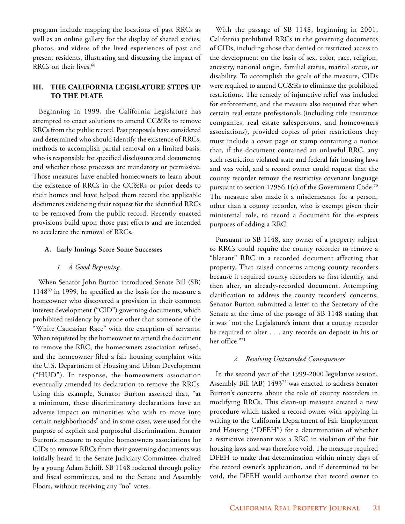program include mapping the locations of past RRCs as well as an online gallery for the display of shared stories, photos, and videos of the lived experiences of past and present residents, illustrating and discussing the impact of RRCs on their lives.<sup>68</sup>

# **III. THE CALIFORNIA LEGISLATURE STEPS UP TO THE PLATE**

Beginning in 1999, the California Legislature has attempted to enact solutions to amend CC&Rs to remove RRCs from the public record. Past proposals have considered and determined who should identify the existence of RRCs; methods to accomplish partial removal on a limited basis; who is responsible for specified disclosures and documents; and whether those processes are mandatory or permissive. Those measures have enabled homeowners to learn about the existence of RRCs in the CC&Rs or prior deeds to their homes and have helped them record the applicable documents evidencing their request for the identified RRCs to be removed from the public record. Recently enacted provisions build upon those past efforts and are intended to accelerate the removal of RRCs.

#### **A. Early Innings Score Some Successes**

#### *1. A Good Beginning.*

When Senator John Burton introduced Senate Bill (SB) 114869 in 1999, he specified as the basis for the measure a homeowner who discovered a provision in their common interest development ("CID") governing documents, which prohibited residency by anyone other than someone of the "White Caucasian Race" with the exception of servants. When requested by the homeowner to amend the document to remove the RRC, the homeowners association refused, and the homeowner filed a fair housing complaint with the U.S. Department of Housing and Urban Development ("HUD"). In response, the homeowners association eventually amended its declaration to remove the RRCs. Using this example, Senator Burton asserted that, "at a minimum, these discriminatory declarations have an adverse impact on minorities who wish to move into certain neighborhoods" and in some cases, were used for the purpose of explicit and purposeful discrimination. Senator Burton's measure to require homeowners associations for CIDs to remove RRCs from their governing documents was initially heard in the Senate Judiciary Committee, chaired by a young Adam Schiff. SB 1148 rocketed through policy and fiscal committees, and to the Senate and Assembly Floors, without receiving any "no" votes.

With the passage of SB 1148, beginning in 2001, California prohibited RRCs in the governing documents of CIDs, including those that denied or restricted access to the development on the basis of sex, color, race, religion, ancestry, national origin, familial status, marital status, or disability. To accomplish the goals of the measure, CIDs were required to amend CC&Rs to eliminate the prohibited restrictions. The remedy of injunctive relief was included for enforcement, and the measure also required that when certain real estate professionals (including title insurance companies, real estate salespersons, and homeowners associations), provided copies of prior restrictions they must include a cover page or stamp containing a notice that, if the document contained an unlawful RRC, any such restriction violated state and federal fair housing laws and was void, and a record owner could request that the county recorder remove the restrictive covenant language pursuant to section 12956.1(c) of the Government Code.<sup>70</sup> The measure also made it a misdemeanor for a person, other than a county recorder, who is exempt given their ministerial role, to record a document for the express purposes of adding a RRC.

Pursuant to SB 1148, any owner of a property subject to RRCs could require the county recorder to remove a "blatant" RRC in a recorded document affecting that property. That raised concerns among county recorders because it required county recorders to first identify, and then alter, an already-recorded document. Attempting clarification to address the county recorders' concerns, Senator Burton submitted a letter to the Secretary of the Senate at the time of the passage of SB 1148 stating that it was "not the Legislature's intent that a county recorder be required to alter . . . any records on deposit in his or her office."71

#### *2. Resolving Unintended Consequences*

In the second year of the 1999-2000 legislative session, Assembly Bill (AB) 1493<sup>72</sup> was enacted to address Senator Burton's concerns about the role of county recorders in modifying RRCs. This clean-up measure created a new procedure which tasked a record owner with applying in writing to the California Department of Fair Employment and Housing ("DFEH") for a determination of whether a restrictive covenant was a RRC in violation of the fair housing laws and was therefore void. The measure required DFEH to make that determination within ninety days of the record owner's application, and if determined to be void, the DFEH would authorize that record owner to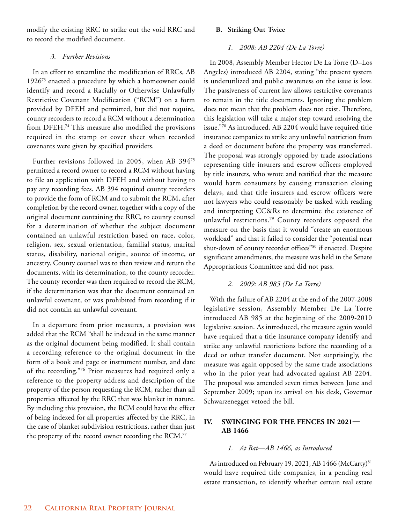modify the existing RRC to strike out the void RRC and to record the modified document.

# *3. Further Revisions*

In an effort to streamline the modification of RRCs, AB 192673 enacted a procedure by which a homeowner could identify and record a Racially or Otherwise Unlawfully Restrictive Covenant Modification ("RCM") on a form provided by DFEH and permitted, but did not require, county recorders to record a RCM without a determination from DFEH.<sup>74</sup> This measure also modified the provisions required in the stamp or cover sheet when recorded covenants were given by specified providers.

Further revisions followed in 2005, when AB 39475 permitted a record owner to record a RCM without having to file an application with DFEH and without having to pay any recording fees. AB 394 required county recorders to provide the form of RCM and to submit the RCM, after completion by the record owner, together with a copy of the original document containing the RRC, to county counsel for a determination of whether the subject document contained an unlawful restriction based on race, color, religion, sex, sexual orientation, familial status, marital status, disability, national origin, source of income, or ancestry. County counsel was to then review and return the documents, with its determination, to the county recorder. The county recorder was then required to record the RCM, if the determination was that the document contained an unlawful covenant, or was prohibited from recording if it did not contain an unlawful covenant.

In a departure from prior measures, a provision was added that the RCM "shall be indexed in the same manner as the original document being modified. It shall contain a recording reference to the original document in the form of a book and page or instrument number, and date of the recording."76 Prior measures had required only a reference to the property address and description of the property of the person requesting the RCM, rather than all properties affected by the RRC that was blanket in nature. By including this provision, the RCM could have the effect of being indexed for all properties affected by the RRC, in the case of blanket subdivision restrictions, rather than just the property of the record owner recording the RCM.<sup>77</sup>

# **B. Striking Out Twice**

# *1. 2008: AB 2204 (De La Torre)*

In 2008, Assembly Member Hector De La Torre (D–Los Angeles) introduced AB 2204, stating "the present system is underutilized and public awareness on the issue is low. The passiveness of current law allows restrictive covenants to remain in the title documents. Ignoring the problem does not mean that the problem does not exist. Therefore, this legislation will take a major step toward resolving the issue."78 As introduced, AB 2204 would have required title insurance companies to strike any unlawful restriction from a deed or document before the property was transferred. The proposal was strongly opposed by trade associations representing title insurers and escrow officers employed by title insurers, who wrote and testified that the measure would harm consumers by causing transaction closing delays, and that title insurers and escrow officers were not lawyers who could reasonably be tasked with reading and interpreting CC&Rs to determine the existence of unlawful restrictions.79 County recorders opposed the measure on the basis that it would "create an enormous workload" and that it failed to consider the "potential near shut-down of county recorder offices"80 if enacted. Despite significant amendments, the measure was held in the Senate Appropriations Committee and did not pass.

# *2. 2009: AB 985 (De La Torre)*

With the failure of AB 2204 at the end of the 2007-2008 legislative session, Assembly Member De La Torre introduced AB 985 at the beginning of the 2009-2010 legislative session. As introduced, the measure again would have required that a title insurance company identify and strike any unlawful restrictions before the recording of a deed or other transfer document. Not surprisingly, the measure was again opposed by the same trade associations who in the prior year had advocated against AB 2204. The proposal was amended seven times between June and September 2009; upon its arrival on his desk, Governor Schwarzenegger vetoed the bill.

# **IV. SWINGING FOR THE FENCES IN 2021— AB 1466**

## *1. At Bat—AB 1466, as Introduced*

As introduced on February 19, 2021, AB 1466 (McCarty)<sup>81</sup> would have required title companies, in a pending real estate transaction, to identify whether certain real estate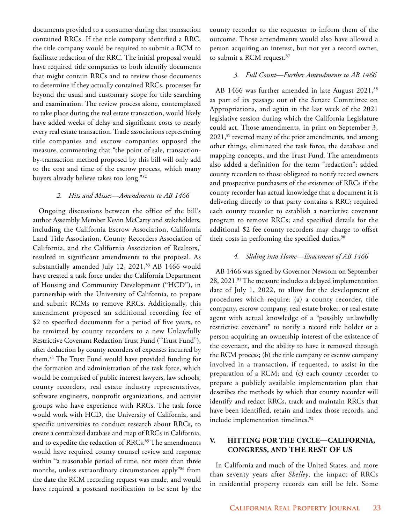documents provided to a consumer during that transaction contained RRCs. If the title company identified a RRC, the title company would be required to submit a RCM to facilitate redaction of the RRC. The initial proposal would have required title companies to both identify documents that might contain RRCs and to review those documents to determine if they actually contained RRCs, processes far beyond the usual and customary scope for title searching and examination. The review process alone, contemplated to take place during the real estate transaction, would likely have added weeks of delay and significant costs to nearly every real estate transaction. Trade associations representing title companies and escrow companies opposed the measure, commenting that "the point of sale, transactionby-transaction method proposed by this bill will only add to the cost and time of the escrow process, which many buyers already believe takes too long."82

#### *2. Hits and Misses—Amendments to AB 1466*

Ongoing discussions between the office of the bill's author Assembly Member Kevin McCarty and stakeholders, including the California Escrow Association, California Land Title Association, County Recorders Association of California, and the California Association of Realtors,<sup>®</sup> resulted in significant amendments to the proposal. As substantially amended July 12, 2021,<sup>83</sup> AB 1466 would have created a task force under the California Department of Housing and Community Development ("HCD"), in partnership with the University of California, to prepare and submit RCMs to remove RRCs. Additionally, this amendment proposed an additional recording fee of \$2 to specified documents for a period of five years, to be remitted by county recorders to a new Unlawfully Restrictive Covenant Redaction Trust Fund ("Trust Fund"), after deduction by county recorders of expenses incurred by them.84 The Trust Fund would have provided funding for the formation and administration of the task force, which would be comprised of public interest lawyers, law schools, county recorders, real estate industry representatives, software engineers, nonprofit organizations, and activist groups who have experience with RRCs. The task force would work with HCD, the University of California, and specific universities to conduct research about RRCs, to create a centralized database and map of RRCs in California, and to expedite the redaction of RRCs.<sup>85</sup> The amendments would have required county counsel review and response within "a reasonable period of time, not more than three months, unless extraordinary circumstances apply"86 from the date the RCM recording request was made, and would have required a postcard notification to be sent by the

county recorder to the requester to inform them of the outcome. Those amendments would also have allowed a person acquiring an interest, but not yet a record owner, to submit a RCM request.87

#### *3. Full Count—Further Amendments to AB 1466*

AB 1466 was further amended in late August 2021,<sup>88</sup> as part of its passage out of the Senate Committee on Appropriations, and again in the last week of the 2021 legislative session during which the California Legislature could act. Those amendments, in print on September 3, 2021,<sup>89</sup> reverted many of the prior amendments, and among other things, eliminated the task force, the database and mapping concepts, and the Trust Fund. The amendments also added a definition for the term "redaction"; added county recorders to those obligated to notify record owners and prospective purchasers of the existence of RRCs if the county recorder has actual knowledge that a document it is delivering directly to that party contains a RRC; required each county recorder to establish a restrictive covenant program to remove RRCs; and specified details for the additional \$2 fee county recorders may charge to offset their costs in performing the specified duties.<sup>90</sup>

#### *4. Sliding into Home—Enactment of AB 1466*

AB 1466 was signed by Governor Newsom on September 28, 2021.<sup>91</sup> The measure includes a delayed implementation date of July 1, 2022, to allow for the development of procedures which require: (a) a county recorder, title company, escrow company, real estate broker, or real estate agent with actual knowledge of a "possibly unlawfully restrictive covenant" to notify a record title holder or a person acquiring an ownership interest of the existence of the covenant, and the ability to have it removed through the RCM process; (b) the title company or escrow company involved in a transaction, if requested, to assist in the preparation of a RCM; and (c) each county recorder to prepare a publicly available implementation plan that describes the methods by which that county recorder will identify and redact RRCs, track and maintain RRCs that have been identified, retain and index those records, and include implementation timelines.<sup>92</sup>

# **V. HITTING FOR THE CYCLE—CALIFORNIA, CONGRESS, AND THE REST OF US**

In California and much of the United States, and more than seventy years after *Shelley*, the impact of RRCs in residential property records can still be felt. Some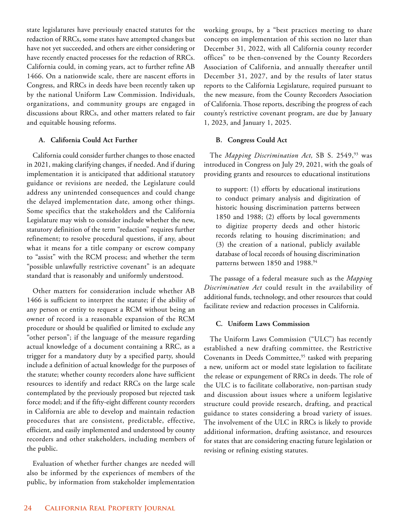state legislatures have previously enacted statutes for the redaction of RRCs, some states have attempted changes but have not yet succeeded, and others are either considering or have recently enacted processes for the redaction of RRCs. California could, in coming years, act to further refine AB 1466. On a nationwide scale, there are nascent efforts in Congress, and RRCs in deeds have been recently taken up by the national Uniform Law Commission. Individuals, organizations, and community groups are engaged in discussions about RRCs, and other matters related to fair and equitable housing reforms.

# **A. California Could Act Further**

California could consider further changes to those enacted in 2021, making clarifying changes, if needed. And if during implementation it is anticipated that additional statutory guidance or revisions are needed, the Legislature could address any unintended consequences and could change the delayed implementation date, among other things. Some specifics that the stakeholders and the California Legislature may wish to consider include whether the new, statutory definition of the term "redaction" requires further refinement; to resolve procedural questions, if any, about what it means for a title company or escrow company to "assist" with the RCM process; and whether the term "possible unlawfully restrictive covenant" is an adequate standard that is reasonably and uniformly understood.

Other matters for consideration include whether AB 1466 is sufficient to interpret the statute; if the ability of any person or entity to request a RCM without being an owner of record is a reasonable expansion of the RCM procedure or should be qualified or limited to exclude any "other person"; if the language of the measure regarding actual knowledge of a document containing a RRC, as a trigger for a mandatory duty by a specified party, should include a definition of actual knowledge for the purposes of the statute; whether county recorders alone have sufficient resources to identify and redact RRCs on the large scale contemplated by the previously proposed but rejected task force model; and if the fifty-eight different county recorders in California are able to develop and maintain redaction procedures that are consistent, predictable, effective, efficient, and easily implemented and understood by county recorders and other stakeholders, including members of the public.

Evaluation of whether further changes are needed will also be informed by the experiences of members of the public, by information from stakeholder implementation

working groups, by a "best practices meeting to share concepts on implementation of this section no later than December 31, 2022, with all California county recorder offices" to be then-convened by the County Recorders Association of California, and annually thereafter until December 31, 2027, and by the results of later status reports to the California Legislature, required pursuant to the new measure, from the County Recorders Association of California. Those reports, describing the progress of each county's restrictive covenant program, are due by January 1, 2023, and January 1, 2025.

# **B. Congress Could Act**

The *Mapping Discrimination Act*, SB S. 2549,<sup>93</sup> was introduced in Congress on July 29, 2021, with the goals of providing grants and resources to educational institutions

to support: (1) efforts by educational institutions to conduct primary analysis and digitization of historic housing discrimination patterns between 1850 and 1988; (2) efforts by local governments to digitize property deeds and other historic records relating to housing discrimination; and (3) the creation of a national, publicly available database of local records of housing discrimination patterns between 1850 and 1988.<sup>94</sup>

The passage of a federal measure such as the *Mapping Discrimination Act* could result in the availability of additional funds, technology, and other resources that could facilitate review and redaction processes in California.

## **C. Uniform Laws Commission**

The Uniform Laws Commission ("ULC") has recently established a new drafting committee, the Restrictive Covenants in Deeds Committee,<sup>95</sup> tasked with preparing a new, uniform act or model state legislation to facilitate the release or expungement of RRCs in deeds. The role of the ULC is to facilitate collaborative, non-partisan study and discussion about issues where a uniform legislative structure could provide research, drafting, and practical guidance to states considering a broad variety of issues. The involvement of the ULC in RRCs is likely to provide additional information, drafting assistance, and resources for states that are considering enacting future legislation or revising or refining existing statutes.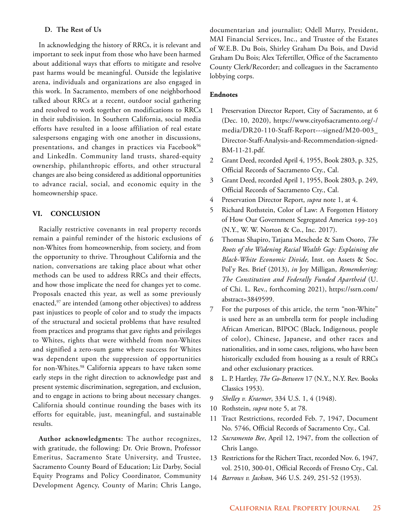## **D. The Rest of Us**

In acknowledging the history of RRCs, it is relevant and important to seek input from those who have been harmed about additional ways that efforts to mitigate and resolve past harms would be meaningful. Outside the legislative arena, individuals and organizations are also engaged in this work. In Sacramento, members of one neighborhood talked about RRCs at a recent, outdoor social gathering and resolved to work together on modifications to RRCs in their subdivision. In Southern California, social media efforts have resulted in a loose affiliation of real estate salespersons engaging with one another in discussions, presentations, and changes in practices via Facebook<sup>96</sup> and LinkedIn. Community land trusts, shared-equity ownership, philanthropic efforts, and other structural changes are also being considered as additional opportunities to advance racial, social, and economic equity in the homeownership space.

#### **VI. CONCLUSION**

Racially restrictive covenants in real property records remain a painful reminder of the historic exclusions of non-Whites from homeownership, from society, and from the opportunity to thrive. Throughout California and the nation, conversations are taking place about what other methods can be used to address RRCs and their effects, and how those implicate the need for changes yet to come. Proposals enacted this year, as well as some previously enacted,<sup>97</sup> are intended (among other objectives) to address past injustices to people of color and to study the impacts of the structural and societal problems that have resulted from practices and programs that gave rights and privileges to Whites, rights that were withheld from non-Whites and signified a zero-sum game where success for Whites was dependent upon the suppression of opportunities for non-Whites.<sup>98</sup> California appears to have taken some early steps in the right direction to acknowledge past and present systemic discrimination, segregation, and exclusion, and to engage in actions to bring about necessary changes. California should continue rounding the bases with its efforts for equitable, just, meaningful, and sustainable results.

**Author acknowledgments:** The author recognizes, with gratitude, the following: Dr. Orie Brown, Professor Emeritus, Sacramento State University, and Trustee, Sacramento County Board of Education; Liz Darby, Social Equity Programs and Policy Coordinator, Community Development Agency, County of Marin; Chris Lango,

documentarian and journalist; Odell Murry, President, MAI Financial Services, Inc., and Trustee of the Estates of W.E.B. Du Bois, Shirley Graham Du Bois, and David Graham Du Bois; Alex Tefertiller, Office of the Sacramento County Clerk/Recorder; and colleagues in the Sacramento lobbying corps.

## **Endnotes**

- 1 Preservation Director Report, City of Sacramento, at 6 (Dec. 10, 2020), https://www.cityofsacramento.org/-/ media/DR20-110-Staff-Report---signed/M20-003\_ Director-Staff-Analysis-and-Recommendation-signed-BM-11-21.pdf.
- 2 Grant Deed, recorded April 4, 1955, Book 2803, p. 325, Official Records of Sacramento Cty., Cal.
- 3 Grant Deed, recorded April 1, 1955, Book 2803, p. 249, Official Records of Sacramento Cty., Cal.
- 4 Preservation Director Report, *supra* note 1, at 4.
- 5 Richard Rothstein, Color of Law: A Forgotten History of How Our Government Segregated America 199-203 (N.Y., W. W. Norton & Co., Inc. 2017).
- 6 Thomas Shapiro, Tatjana Meschede & Sam Osoro, *The Roots of the Widening Racial Wealth Gap: Explaining the Black-White Economic Divide,* Inst. on Assets & Soc. Pol'y Res. Brief (2013), *in* Joy Milligan, *Remembering: The Constitution and Federally Funded Apartheid* (U. of Chi. L. Rev., forthcoming 2021), https://ssrn.com/ abstract=3849599.
- 7 For the purposes of this article, the term "non-White" is used here as an umbrella term for people including African American, BIPOC (Black, Indigenous, people of color), Chinese, Japanese, and other races and nationalities, and in some cases, religions, who have been historically excluded from housing as a result of RRCs and other exclusionary practices.
- 8 L. P. Hartley, *The Go-Between* 17 (N.Y., N.Y. Rev. Books Classics 1953).
- 9 *Shelley v. Kraemer*, 334 U.S. 1, 4 (1948).
- 10 Rothstein, *supra* note 5, at 78.
- 11 Tract Restrictions, recorded Feb. 7, 1947, Document No. 5746, Official Records of Sacramento Cty., Cal.
- 12 *Sacramento Bee*, April 12, 1947, from the collection of Chris Lango.
- 13 Restrictions for the Richert Tract, recorded Nov. 6, 1947, vol. 2510, 300-01, Official Records of Fresno Cty., Cal.
- 14 *Barrows v. Jackson*, 346 U.S. 249, 251-52 (1953).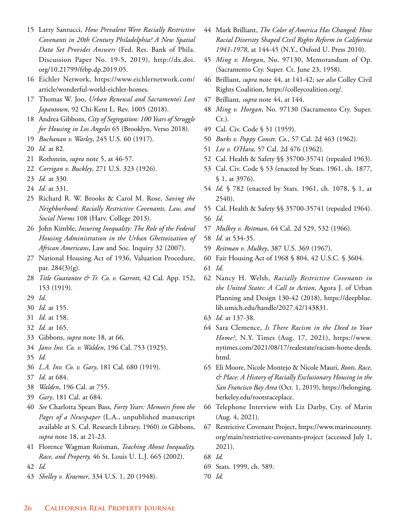- Larry Santucci, *How Prevalent Were Racially Restrictive Covenants in 20th Century Philadelphia? A New Spatial Data Set Provides Answers* (Fed. Res. Bank of Phila. Discussion Paper No. 19-5, 2019), http://dx.doi. org/10.21799/frbp.dp.2019.05.
- Eichler Network, https://www.eichlernetwork.com/ article/wonderful-world-eichler-homes.
- Thomas W. Joo, *Urban Renewal and Sacramento's Lost Japantown*, 92 Chi-Kent L. Rev. 1005 (2018).
- Andrea Gibbons, *City of Segregation: 100 Years of Struggle for Housing in Los Angeles* 65 (Brooklyn, Verso 2018).
- *Buchanan v. Warley*, 245 U.S. 60 (1917).
- *Id.* at 82.
- Rothstein, *supra* note 5, at 46-57.
- *Corrigan v. Buckley*, 271 U.S. 323 (1926).
- *Id.* at 330.
- *Id.* at 331.
- Richard R. W. Brooks & Carol M. Rose, *Saving the Neighborhood: Racially Restrictive Covenants, Law, and Social Norms* 108 (Harv. College 2013).
- John Kimble, *Insuring Inequality: The Role of the Federal Housing Administration in the Urban Ghettoization of African Americans*, Law and Soc. Inquiry 32 (2007).
- National Housing Act of 1936, Valuation Procedure, par. 284(3)(g).
- *Title Guarantee & Tr. Co. v. Garrott*, 42 Cal. App. 152, 153 (1919).
- *Id.*
- *Id.* at 155.
- *Id.* at 158.
- *Id.* at 165.
- Gibbons, *supra* note 18, at 66.
- *Janss Inv. Co. v. Walden*, 196 Cal. 753 (1925).
- *Id.*
- *L.A. Inv. Co. v. Gary*, 181 Cal. 680 (1919).
- *Id*. at 684.
- *Walden*, 196 Cal. at 755.
- *Gary*, 181 Cal. at 684.
- *See* Charlotta Spears Bass, *Forty Years: Memoirs from the Pages of a Newspaper* (L.A., unpublished manuscript available at S. Cal. Research Library, 1960) *in* Gibbons, *supra* note 18, at 21-23.
- Florence Wagman Roisman, *Teaching About Inequality, Race, and Property,* 46 St. Louis U. L.J. 665 (2002).
- *Id.*
- *Shelley v. Kraemer*, 334 U.S. 1, 20 (1948).
- Mark Brilliant, *The Color of America Has Changed: How Racial Diversity Shaped Civil Rights Reform in California 1941-1978*, at 144-45 (N.Y., Oxford U. Press 2010).
- *Ming v. Horgan*, No. 97130, Memorandum of Op. (Sacramento Cty. Super. Ct. June 23, 1958).
- Brilliant, *supra* note 44, at 141-42; s*ee also* Colley Civil Rights Coalition, https://colleycoalition.org/.
- Brilliant*, supra* note 44, at 144.
- *Ming v. Horgan*, No. 97130 (Sacramento Cty. Super. Ct.).
- Cal. Civ. Code § 51 (1959).
- *Burks v. Poppy Constr. Co.*, 57 Cal. 2d 463 (1962).
- *Lee v. O'Hara,* 57 Cal. 2d 476 (1962).
- Cal. Health & Safety §§ 35700-35741 (repealed 1963).
- Cal. Civ. Code § 53 (enacted by Stats. 1961, ch. 1877, § 1, at 3976).
- *Id.* § 782 (enacted by Stats. 1961, ch. 1078, § 1, at 2540).
- Cal. Health & Safety §§ 35700-35741 (repealed 1964).
- *Id.*
- *Mulkey v. Reitman*, 64 Cal. 2d 529, 532 (1966).
- *Id*. at 534-35.
- *Reitman v. Mulkey*, 387 U.S. 369 (1967).
- Fair Housing Act of 1968 § 804, 42 U.S.C. § 3604.
- *Id.*
- Nancy H. Welsh, *Racially Restrictive Covenants in the United States: A Call to Action*, Agora J. of Urban Planning and Design 130-42 (2018), https://deepblue. lib.umich.edu/handle/2027.42/143831.
- *Id.* at 137-38.
- Sara Clemence, *Is There Racism in the Deed to Your Home?*, N.Y. Times (Aug. 17, 2021), https://www. nytimes.com/2021/08/17/realestate/racism-home-deeds. html.
- Eli Moore, Nicole Montejo & Nicole Mauri, *Roots, Race, & Place: A History of Racially Exclusionary Housing in the San Francisco Bay Area* (Oct. 1, 2019), https://belonging. berkeley.edu/rootsraceplace.
- Telephone Interview with Liz Darby, Cty. of Marin (Aug. 4, 2021).
- Restrictive Covenant Project, https://www.marincounty. org/main/restrictive-covenants-project (accessed July 1, 2021).
- *Id.*
- Stats. 1999, ch. 589.
- *Id.*